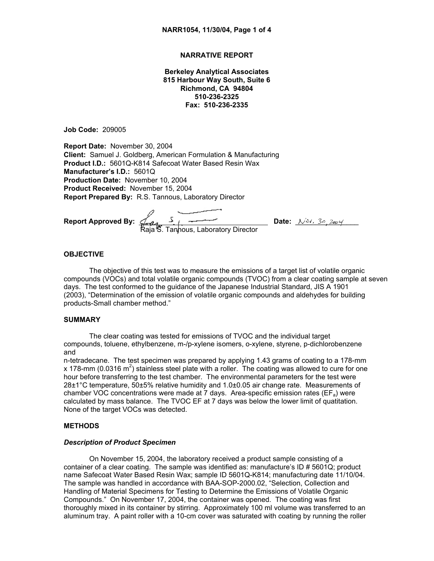## **NARRATIVE REPORT**

**Berkeley Analytical Associates 815 Harbour Way South, Suite 6 Richmond, CA 94804 510-236-2325 Fax: 510-236-2335**

**Job Code:** 209005

**Report Date:** November 30, 2004 **Client:** Samuel J. Goldberg, American Formulation & Manufacturing **Product I.D.:** 5601Q-K814 Safecoat Water Based Resin Wax **Manufacturer's I.D.:** 5601Q **Production Date:** November 10, 2004 **Product Received:** November 15, 2004 **Report Prepared By:** R.S. Tannous, Laboratory Director

**Report Approved By:**  $\frac{1}{2}$  ,  $\frac{1}{2}$  ,  $\frac{1}{2}$  ,  $\frac{1}{2}$  ,  $\frac{1}{2}$  ,  $\frac{1}{2}$  ,  $\frac{1}{2}$  ,  $\frac{1}{2}$  ,  $\frac{1}{2}$  ,  $\frac{1}{2}$  ,  $\frac{1}{2}$  ,  $\frac{1}{2}$  ,  $\frac{1}{2}$  ,  $\frac{1}{2}$  ,  $\frac{1}{2}$  ,  $\frac{1}{2}$  ,  $\frac{1}{2}$ Raja<sup>r</sup>S. Tanhous, Laboratory Director

## **OBJECTIVE**

The objective of this test was to measure the emissions of a target list of volatile organic compounds (VOCs) and total volatile organic compounds (TVOC) from a clear coating sample at seven days. The test conformed to the guidance of the Japanese Industrial Standard, JIS A 1901 (2003), "Determination of the emission of volatile organic compounds and aldehydes for building products-Small chamber method."

#### **SUMMARY**

The clear coating was tested for emissions of TVOC and the individual target compounds, toluene, ethylbenzene, m-/p-xylene isomers, o-xylene, styrene, p-dichlorobenzene and

n-tetradecane. The test specimen was prepared by applying 1.43 grams of coating to a 178-mm x 178-mm (0.0316 m<sup>2</sup>) stainless steel plate with a roller. The coating was allowed to cure for one hour before transferring to the test chamber. The environmental parameters for the test were 28±1°C temperature, 50±5% relative humidity and 1.0±0.05 air change rate. Measurements of chamber VOC concentrations were made at  $\overline{7}$  days. Area-specific emission rates (EF<sub>a</sub>) were calculated by mass balance. The TVOC EF at 7 days was below the lower limit of quatitation. None of the target VOCs was detected.

## **METHODS**

#### *Description of Product Specimen*

On November 15, 2004, the laboratory received a product sample consisting of a container of a clear coating. The sample was identified as: manufacture's ID # 5601Q; product name Safecoat Water Based Resin Wax; sample ID 5601Q-K814; manufacturing date 11/10/04. The sample was handled in accordance with BAA-SOP-2000.02, "Selection, Collection and Handling of Material Specimens for Testing to Determine the Emissions of Volatile Organic Compounds." On November 17, 2004, the container was opened. The coating was first thoroughly mixed in its container by stirring. Approximately 100 ml volume was transferred to an aluminum tray. A paint roller with a 10-cm cover was saturated with coating by running the roller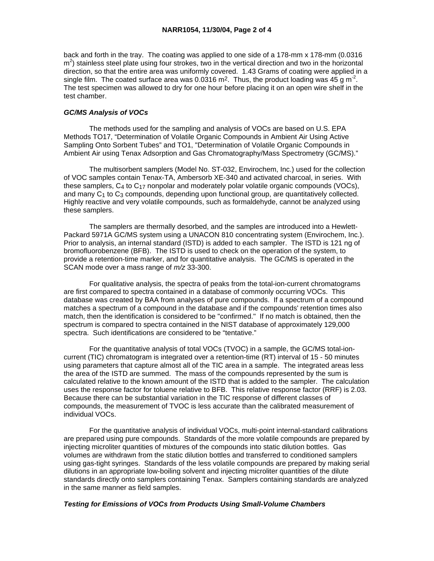back and forth in the tray. The coating was applied to one side of a 178-mm x 178-mm (0.0316  $m<sup>2</sup>$ ) stainless steel plate using four strokes, two in the vertical direction and two in the horizontal direction, so that the entire area was uniformly covered. 1.43 Grams of coating were applied in a single film. The coated surface area was 0.0316 m<sup>2</sup>. Thus, the product loading was 45 g m<sup>-2</sup>. The test specimen was allowed to dry for one hour before placing it on an open wire shelf in the test chamber.

## *GC/MS Analysis of VOCs*

 The methods used for the sampling and analysis of VOCs are based on U.S. EPA Methods TO17, "Determination of Volatile Organic Compounds in Ambient Air Using Active Sampling Onto Sorbent Tubes" and TO1, "Determination of Volatile Organic Compounds in Ambient Air using Tenax Adsorption and Gas Chromatography/Mass Spectrometry (GC/MS)."

 The multisorbent samplers (Model No. ST-032, Envirochem, Inc.) used for the collection of VOC samples contain Tenax-TA, Ambersorb XE-340 and activated charcoal, in series. With these samplers, C4 to C17 nonpolar and moderately polar volatile organic compounds (VOCs), and many  $C_1$  to  $C_3$  compounds, depending upon functional group, are quantitatively collected. Highly reactive and very volatile compounds, such as formaldehyde, cannot be analyzed using these samplers.

 The samplers are thermally desorbed, and the samples are introduced into a Hewlett-Packard 5971A GC/MS system using a UNACON 810 concentrating system (Envirochem, Inc.). Prior to analysis, an internal standard (ISTD) is added to each sampler. The ISTD is 121 ng of bromofluorobenzene (BFB). The ISTD is used to check on the operation of the system, to provide a retention-time marker, and for quantitative analysis. The GC/MS is operated in the SCAN mode over a mass range of *m/z* 33-300.

 For qualitative analysis, the spectra of peaks from the total-ion-current chromatograms are first compared to spectra contained in a database of commonly occurring VOCs. This database was created by BAA from analyses of pure compounds. If a spectrum of a compound matches a spectrum of a compound in the database and if the compounds' retention times also match, then the identification is considered to be "confirmed." If no match is obtained, then the spectrum is compared to spectra contained in the NIST database of approximately 129,000 spectra. Such identifications are considered to be "tentative."

 For the quantitative analysis of total VOCs (TVOC) in a sample, the GC/MS total-ioncurrent (TIC) chromatogram is integrated over a retention-time (RT) interval of 15 - 50 minutes using parameters that capture almost all of the TIC area in a sample. The integrated areas less the area of the ISTD are summed. The mass of the compounds represented by the sum is calculated relative to the known amount of the ISTD that is added to the sampler. The calculation uses the response factor for toluene relative to BFB. This relative response factor (RRF) is 2.03. Because there can be substantial variation in the TIC response of different classes of compounds, the measurement of TVOC is less accurate than the calibrated measurement of individual VOCs.

 For the quantitative analysis of individual VOCs, multi-point internal-standard calibrations are prepared using pure compounds. Standards of the more volatile compounds are prepared by injecting microliter quantities of mixtures of the compounds into static dilution bottles. Gas volumes are withdrawn from the static dilution bottles and transferred to conditioned samplers using gas-tight syringes. Standards of the less volatile compounds are prepared by making serial dilutions in an appropriate low-boiling solvent and injecting microliter quantities of the dilute standards directly onto samplers containing Tenax. Samplers containing standards are analyzed in the same manner as field samples.

# *Testing for Emissions of VOCs from Products Using Small-Volume Chambers*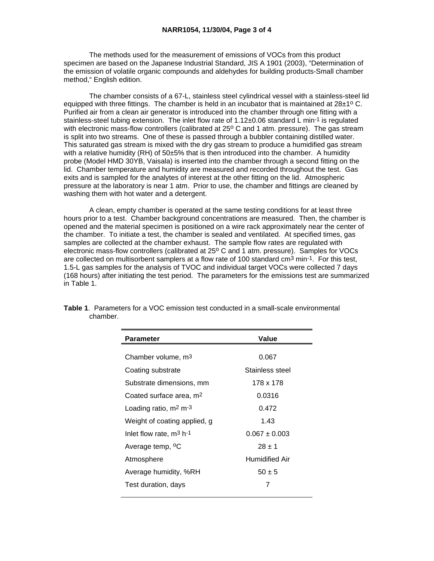The methods used for the measurement of emissions of VOCs from this product specimen are based on the Japanese Industrial Standard, JIS A 1901 (2003), "Determination of the emission of volatile organic compounds and aldehydes for building products-Small chamber method," English edition.

 The chamber consists of a 67-L, stainless steel cylindrical vessel with a stainless-steel lid equipped with three fittings. The chamber is held in an incubator that is maintained at  $28\pm1^{\circ}$  C. Purified air from a clean air generator is introduced into the chamber through one fitting with a stainless-steel tubing extension. The inlet flow rate of 1.12±0.06 standard L min<sup>-1</sup> is regulated with electronic mass-flow controllers (calibrated at 25° C and 1 atm. pressure). The gas stream is split into two streams. One of these is passed through a bubbler containing distilled water. This saturated gas stream is mixed with the dry gas stream to produce a humidified gas stream with a relative humidity (RH) of 50±5% that is then introduced into the chamber. A humidity probe (Model HMD 30YB, Vaisala) is inserted into the chamber through a second fitting on the lid. Chamber temperature and humidity are measured and recorded throughout the test. Gas exits and is sampled for the analytes of interest at the other fitting on the lid. Atmospheric pressure at the laboratory is near 1 atm. Prior to use, the chamber and fittings are cleaned by washing them with hot water and a detergent.

 A clean, empty chamber is operated at the same testing conditions for at least three hours prior to a test. Chamber background concentrations are measured. Then, the chamber is opened and the material specimen is positioned on a wire rack approximately near the center of the chamber. To initiate a test, the chamber is sealed and ventilated. At specified times, gas samples are collected at the chamber exhaust. The sample flow rates are regulated with electronic mass-flow controllers (calibrated at 25° C and 1 atm. pressure). Samples for VOCs are collected on multisorbent samplers at a flow rate of 100 standard cm3 min-1. For this test, 1.5-L gas samples for the analysis of TVOC and individual target VOCs were collected 7 days (168 hours) after initiating the test period. The parameters for the emissions test are summarized in Table 1.

| Parameter                           | Value                 |  |
|-------------------------------------|-----------------------|--|
|                                     |                       |  |
| Chamber volume, m <sup>3</sup>      | 0.067                 |  |
| Coating substrate                   | Stainless steel       |  |
| Substrate dimensions, mm            | 178 x 178             |  |
| Coated surface area, m <sup>2</sup> | 0.0316                |  |
| Loading ratio, $m2 m-3$             | 0.472                 |  |
| Weight of coating applied, g        | 1.43                  |  |
| Inlet flow rate, $m^3$ h-1          | $0.067 \pm 0.003$     |  |
| Average temp, <sup>o</sup> C        | $28 + 1$              |  |
| Atmosphere                          | <b>Humidified Air</b> |  |
| Average humidity, %RH               | $50 \pm 5$            |  |
| Test duration, days                 | 7                     |  |
|                                     |                       |  |

**Table 1**. Parameters for a VOC emission test conducted in a small-scale environmental chamber.